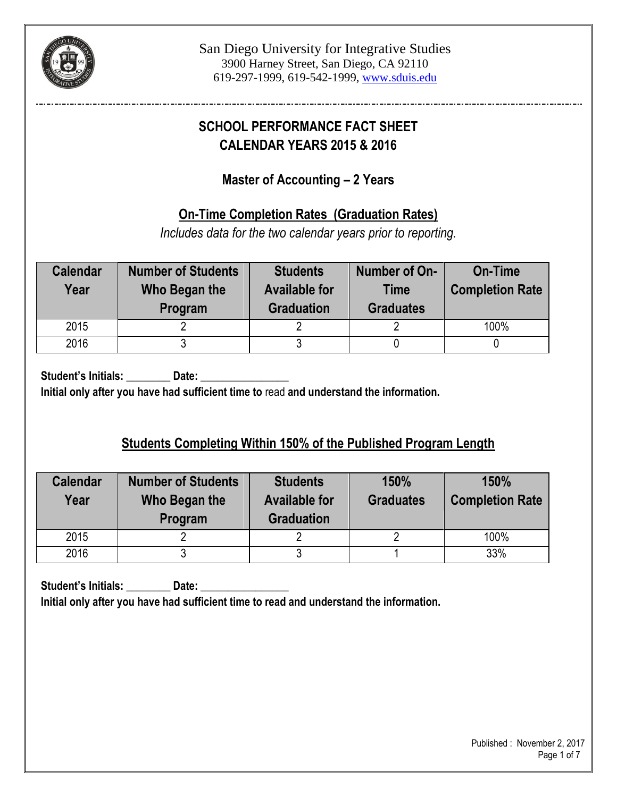

# **SCHOOL PERFORMANCE FACT SHEET CALENDAR YEARS 2015 & 2016**

## **Master of Accounting – 2 Years**

## **On-Time Completion Rates (Graduation Rates)**

*Includes data for the two calendar years prior to reporting.*

| <b>Calendar</b><br>Year | <b>Number of Students</b><br>Who Began the<br>Program | <b>Students</b><br><b>Available for</b><br><b>Graduation</b> | Number of On-<br><b>Time</b><br><b>Graduates</b> | <b>On-Time</b><br><b>Completion Rate</b> |
|-------------------------|-------------------------------------------------------|--------------------------------------------------------------|--------------------------------------------------|------------------------------------------|
| 2015                    |                                                       |                                                              |                                                  | 100%                                     |
| 2016                    |                                                       |                                                              |                                                  |                                          |

Student's Initials: **Date:** Date: **Initial only after you have had sufficient time to** read **and understand the information.**

# **Students Completing Within 150% of the Published Program Length**

| <b>Calendar</b><br>Year | <b>Number of Students</b><br>Who Began the<br>Program | <b>Students</b><br><b>Available for</b><br><b>Graduation</b> |  | 150%<br><b>Completion Rate</b> |
|-------------------------|-------------------------------------------------------|--------------------------------------------------------------|--|--------------------------------|
| 2015                    |                                                       |                                                              |  | 100%                           |
| 2016                    |                                                       |                                                              |  | 33%                            |

Student's Initials: **Date:** Date: **Initial only after you have had sufficient time to read and understand the information.**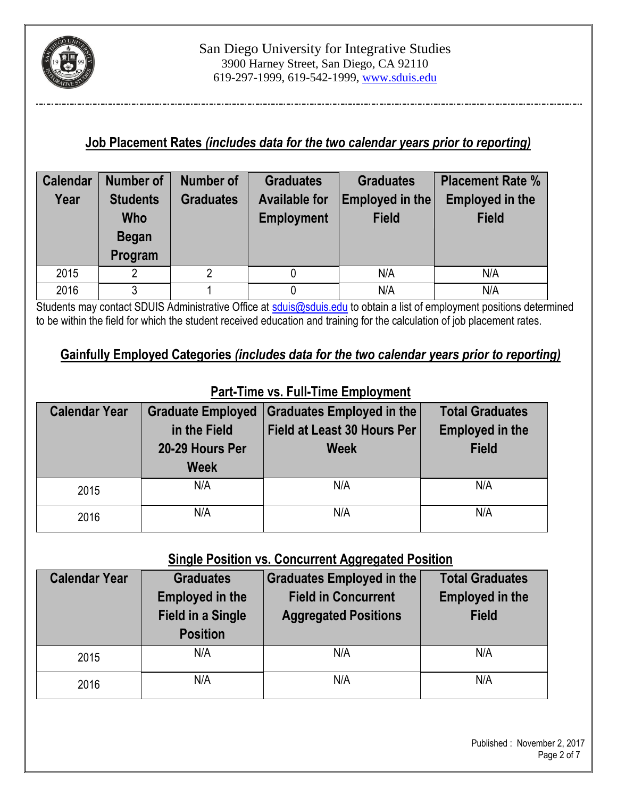

## **Job Placement Rates** *(includes data for the two calendar years prior to reporting)*

| <b>Calendar</b> | <b>Number of</b>                                            | Number of | <b>Graduates</b>                          | <b>Graduates</b> | <b>Placement Rate %</b> |  |
|-----------------|-------------------------------------------------------------|-----------|-------------------------------------------|------------------|-------------------------|--|
| Year            | <b>Graduates</b><br><b>Available for</b><br><b>Students</b> |           | Employed in the<br><b>Employed in the</b> |                  |                         |  |
|                 | Who                                                         |           | <b>Employment</b>                         | <b>Field</b>     | <b>Field</b>            |  |
|                 | <b>Began</b>                                                |           |                                           |                  |                         |  |
|                 | Program                                                     |           |                                           |                  |                         |  |
| 2015            | 2                                                           |           |                                           | N/A              | N/A                     |  |
| 2016            | 3                                                           |           |                                           | N/A              | N/A                     |  |

Students may contact SDUIS Administrative Office at [sduis@sduis.edu](mailto:sduis@sduis.edu) to obtain a list of employment positions determined to be within the field for which the student received education and training for the calculation of job placement rates.

## **Gainfully Employed Categories** *(includes data for the two calendar years prior to reporting)*

| <b>Calendar Year</b> | <b>Graduate Employed</b><br>in the Field<br>20-29 Hours Per<br><b>Week</b> | <b>Graduates Employed in the</b><br><b>Field at Least 30 Hours Per</b><br><b>Week</b> | <b>Total Graduates</b><br><b>Employed in the</b><br><b>Field</b> |
|----------------------|----------------------------------------------------------------------------|---------------------------------------------------------------------------------------|------------------------------------------------------------------|
|                      |                                                                            |                                                                                       |                                                                  |
| 2015                 | N/A                                                                        | N/A                                                                                   | N/A                                                              |
| 2016                 | N/A                                                                        | N/A                                                                                   | N/A                                                              |

# **Part-Time vs. Full-Time Employment**

#### **Single Position vs. Concurrent Aggregated Position**

| <b>Calendar Year</b> | <b>Graduates</b><br><b>Employed in the</b><br><b>Field in a Single</b><br><b>Position</b> | Graduates Employed in the<br><b>Field in Concurrent</b><br><b>Aggregated Positions</b> | <b>Total Graduates</b><br><b>Employed in the</b><br><b>Field</b> |
|----------------------|-------------------------------------------------------------------------------------------|----------------------------------------------------------------------------------------|------------------------------------------------------------------|
| 2015                 | N/A                                                                                       | N/A                                                                                    | N/A                                                              |
| 2016                 | N/A                                                                                       | N/A                                                                                    | N/A                                                              |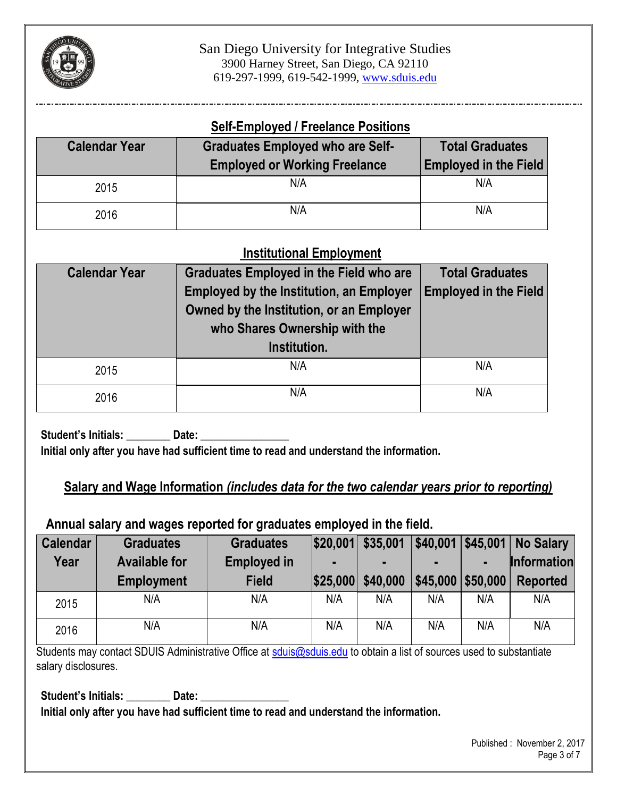

#### **Self-Employed / Freelance Positions**

| <b>Calendar Year</b> | <b>Graduates Employed who are Self-</b><br><b>Employed or Working Freelance</b> | <b>Total Graduates</b><br><b>Employed in the Field</b> |  |
|----------------------|---------------------------------------------------------------------------------|--------------------------------------------------------|--|
| 2015                 | N/A                                                                             | N/A                                                    |  |
| 2016                 | N/A                                                                             | N/A                                                    |  |

## **Institutional Employment**

| <b>Calendar Year</b> | <b>Graduates Employed in the Field who are</b><br><b>Employed by the Institution, an Employer</b><br>Owned by the Institution, or an Employer<br>who Shares Ownership with the<br>Institution. | <b>Total Graduates</b><br><b>Employed in the Field</b> |  |
|----------------------|------------------------------------------------------------------------------------------------------------------------------------------------------------------------------------------------|--------------------------------------------------------|--|
| 2015                 | N/A                                                                                                                                                                                            | N/A                                                    |  |
| 2016                 | N/A                                                                                                                                                                                            | N/A                                                    |  |

Student's Initials: \_\_\_\_\_\_\_\_\_\_ Date: **Initial only after you have had sufficient time to read and understand the information.**

## **Salary and Wage Information** *(includes data for the two calendar years prior to reporting)*

#### **Annual salary and wages reported for graduates employed in the field.**

| <b>Calendar</b> | <b>Graduates</b>     | <b>Graduates</b>   | \$20,001 | \$35,001 | \$40,001 |          | <b>\$45,001 No Salary</b> |
|-----------------|----------------------|--------------------|----------|----------|----------|----------|---------------------------|
| Year            | <b>Available for</b> | <b>Employed in</b> |          |          |          |          | <b>Information</b>        |
|                 | <b>Employment</b>    | <b>Field</b>       | \$25,000 | \$40,000 | \$45,000 | \$50,000 | Reported                  |
| 2015            | N/A                  | N/A                | N/A      | N/A      | N/A      | N/A      | N/A                       |
| 2016            | N/A                  | N/A                | N/A      | N/A      | N/A      | N/A      | N/A                       |

Students may contact SDUIS Administrative Office at [sduis@sduis.edu](mailto:sduis@sduis.edu) to obtain a list of sources used to substantiate salary disclosures.

Student's Initials: **Date:** Date:

**Initial only after you have had sufficient time to read and understand the information.**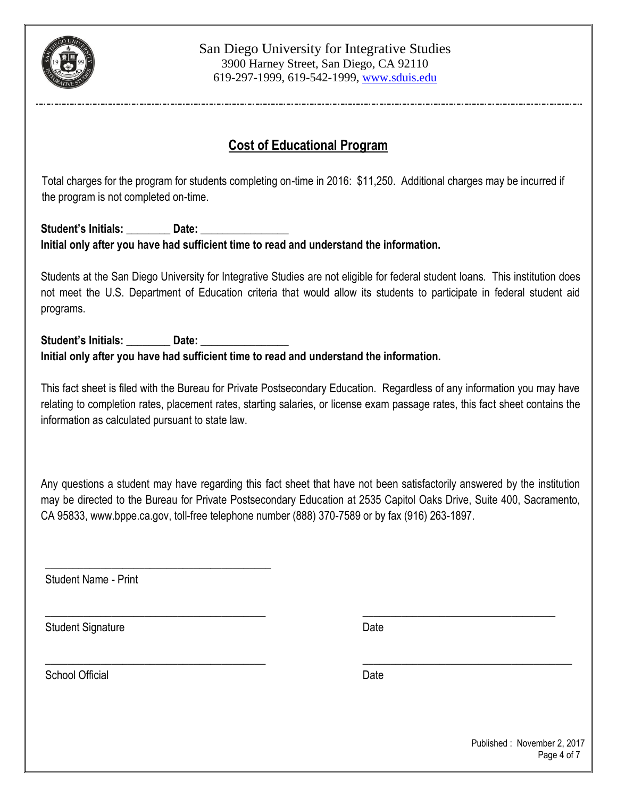

# **Cost of Educational Program**

 Total charges for the program for students completing on-time in 2016: \$11,250. Additional charges may be incurred if the program is not completed on-time.

#### Student's Initials: **Date:** Date: **Initial only after you have had sufficient time to read and understand the information.**

Students at the San Diego University for Integrative Studies are not eligible for federal student loans. This institution does not meet the U.S. Department of Education criteria that would allow its students to participate in federal student aid programs.

#### **Student's Initials: \_\_\_\_\_\_\_\_ Date: \_\_\_\_\_\_\_\_\_\_\_\_\_\_\_\_ Initial only after you have had sufficient time to read and understand the information.**

This fact sheet is filed with the Bureau for Private Postsecondary Education. Regardless of any information you may have relating to completion rates, placement rates, starting salaries, or license exam passage rates, this fact sheet contains the information as calculated pursuant to state law.

Any questions a student may have regarding this fact sheet that have not been satisfactorily answered by the institution may be directed to the Bureau for Private Postsecondary Education at 2535 Capitol Oaks Drive, Suite 400, Sacramento, CA 95833[, www.bppe.ca.gov,](http://www.bppe.ca.gov/) toll-free telephone number (888) 370-7589 or by fax (916) 263-1897.

\_\_\_\_\_\_\_\_\_\_\_\_\_\_\_\_\_\_\_\_\_\_\_\_\_\_\_\_\_\_\_\_\_\_\_\_\_\_\_\_ \_\_\_\_\_\_\_\_\_\_\_\_\_\_\_\_\_\_\_\_\_\_\_\_\_\_\_\_\_\_\_\_\_\_\_

\_\_\_\_\_\_\_\_\_\_\_\_\_\_\_\_\_\_\_\_\_\_\_\_\_\_\_\_\_\_\_\_\_\_\_\_\_\_\_\_ \_\_\_\_\_\_\_\_\_\_\_\_\_\_\_\_\_\_\_\_\_\_\_\_\_\_\_\_\_\_\_\_\_\_\_\_\_\_

Student Name - Print

\_\_\_\_\_\_\_\_\_\_\_\_\_\_\_\_\_\_\_\_\_\_\_\_\_\_\_\_\_\_\_\_\_\_\_\_\_\_\_\_\_

Student Signature Date Date

School Official Date Date Date Date Date Date Date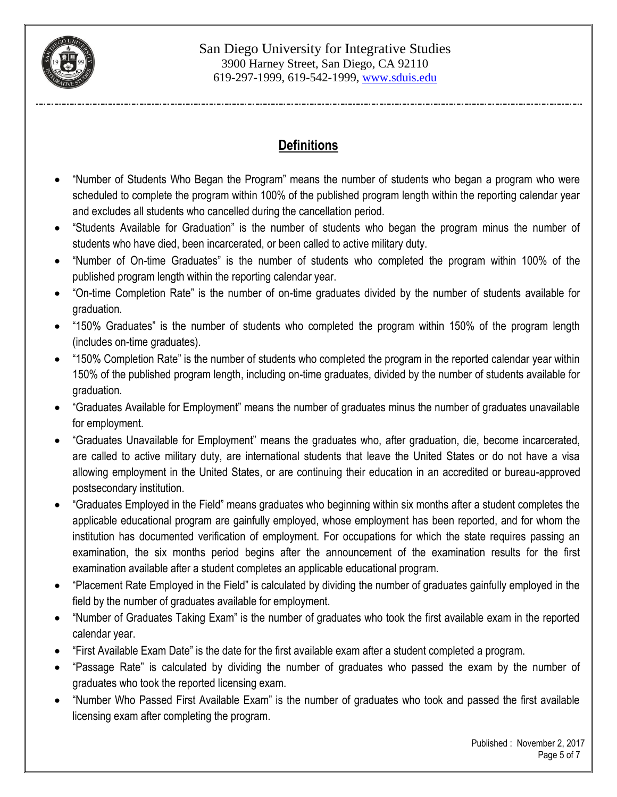

# **Definitions**

- "Number of Students Who Began the Program" means the number of students who began a program who were scheduled to complete the program within 100% of the published program length within the reporting calendar year and excludes all students who cancelled during the cancellation period.
- "Students Available for Graduation" is the number of students who began the program minus the number of students who have died, been incarcerated, or been called to active military duty.
- "Number of On-time Graduates" is the number of students who completed the program within 100% of the published program length within the reporting calendar year.
- "On-time Completion Rate" is the number of on-time graduates divided by the number of students available for graduation.
- "150% Graduates" is the number of students who completed the program within 150% of the program length (includes on-time graduates).
- "150% Completion Rate" is the number of students who completed the program in the reported calendar year within 150% of the published program length, including on-time graduates, divided by the number of students available for graduation.
- "Graduates Available for Employment" means the number of graduates minus the number of graduates unavailable for employment.
- "Graduates Unavailable for Employment" means the graduates who, after graduation, die, become incarcerated, are called to active military duty, are international students that leave the United States or do not have a visa allowing employment in the United States, or are continuing their education in an accredited or bureau-approved postsecondary institution.
- "Graduates Employed in the Field" means graduates who beginning within six months after a student completes the applicable educational program are gainfully employed, whose employment has been reported, and for whom the institution has documented verification of employment. For occupations for which the state requires passing an examination, the six months period begins after the announcement of the examination results for the first examination available after a student completes an applicable educational program.
- "Placement Rate Employed in the Field" is calculated by dividing the number of graduates gainfully employed in the field by the number of graduates available for employment.
- "Number of Graduates Taking Exam" is the number of graduates who took the first available exam in the reported calendar year.
- "First Available Exam Date" is the date for the first available exam after a student completed a program.
- "Passage Rate" is calculated by dividing the number of graduates who passed the exam by the number of graduates who took the reported licensing exam.
- "Number Who Passed First Available Exam" is the number of graduates who took and passed the first available licensing exam after completing the program.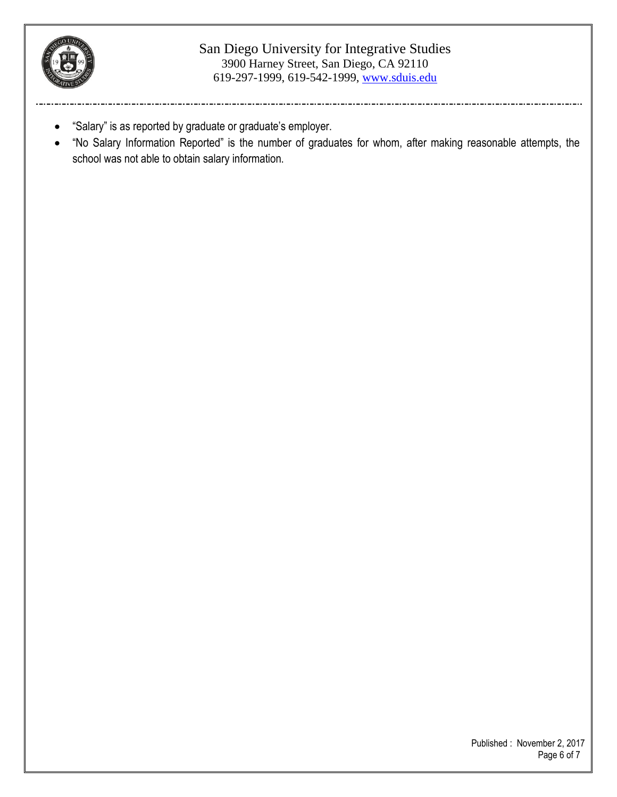

#### San Diego University for Integrative Studies 3900 Harney Street, San Diego, CA 92110 619-297-1999, 619-542-1999, www.sduis.edu

- "Salary" is as reported by graduate or graduate's employer.
- "No Salary Information Reported" is the number of graduates for whom, after making reasonable attempts, the school was not able to obtain salary information.